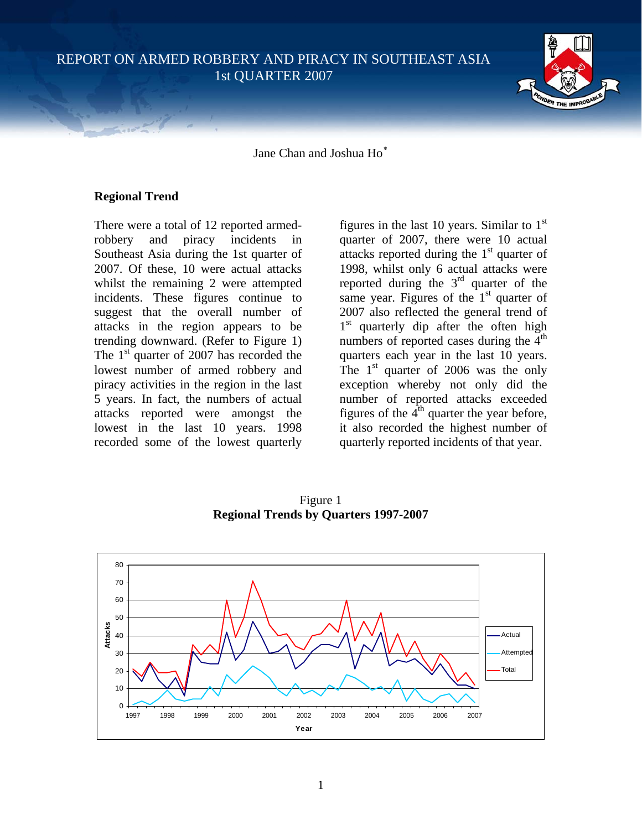REPORT ON ARMED ROBBERY AND PIRACY IN SOUTHEAST ASIA 1st QUARTER 2007



Jane Chan and Joshua Ho[∗](#page-6-0)

## **Regional Trend**

There were a total of 12 reported armedrobbery and piracy incidents in Southeast Asia during the 1st quarter of 2007. Of these, 10 were actual attacks whilst the remaining 2 were attempted incidents. These figures continue to suggest that the overall number of attacks in the region appears to be trending downward. (Refer to Figure 1) The  $1<sup>st</sup>$  quarter of 2007 has recorded the lowest number of armed robbery and piracy activities in the region in the last 5 years. In fact, the numbers of actual attacks reported were amongst the lowest in the last 10 years. 1998 recorded some of the lowest quarterly

figures in the last 10 years. Similar to  $1<sup>st</sup>$ quarter of 2007, there were 10 actual attacks reported during the  $1<sup>st</sup>$  quarter of 1998, whilst only 6 actual attacks were reported during the  $3<sup>rd</sup>$  quarter of the same year. Figures of the  $1<sup>st</sup>$  quarter of 2007 also reflected the general trend of 1<sup>st</sup> quarterly dip after the often high numbers of reported cases during the  $4<sup>th</sup>$ quarters each year in the last 10 years. The  $1<sup>st</sup>$  quarter of 2006 was the only exception whereby not only did the number of reported attacks exceeded figures of the  $4<sup>th</sup>$  quarter the year before, it also recorded the highest number of quarterly reported incidents of that year.

0 10 20 30 40 50 60 70 80 1997 1998 1999 2000 2001 2002 2003 2004 2005 2006 2007 **Year Attacks** Actual Attempte Total

Figure 1 **Regional Trends by Quarters 1997-2007**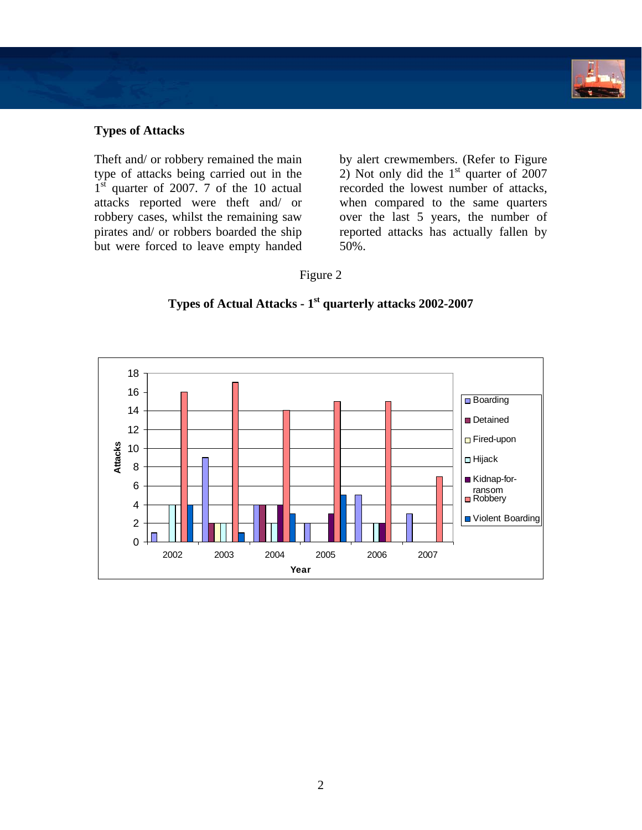

## **Types of Attacks**

Theft and/ or robbery remained the main type of attacks being carried out in the  $1<sup>st</sup>$  quarter of 2007. 7 of the 10 actual attacks reported were theft and/ or robbery cases, whilst the remaining saw pirates and/ or robbers boarded the ship but were forced to leave empty handed

by alert crewmembers. (Refer to Figure 2) Not only did the  $1<sup>st</sup>$  quarter of 2007 recorded the lowest number of attacks, when compared to the same quarters over the last 5 years, the number of reported attacks has actually fallen by 50%.

Figure 2

# **Types of Actual Attacks - 1st quarterly attacks 2002-2007**

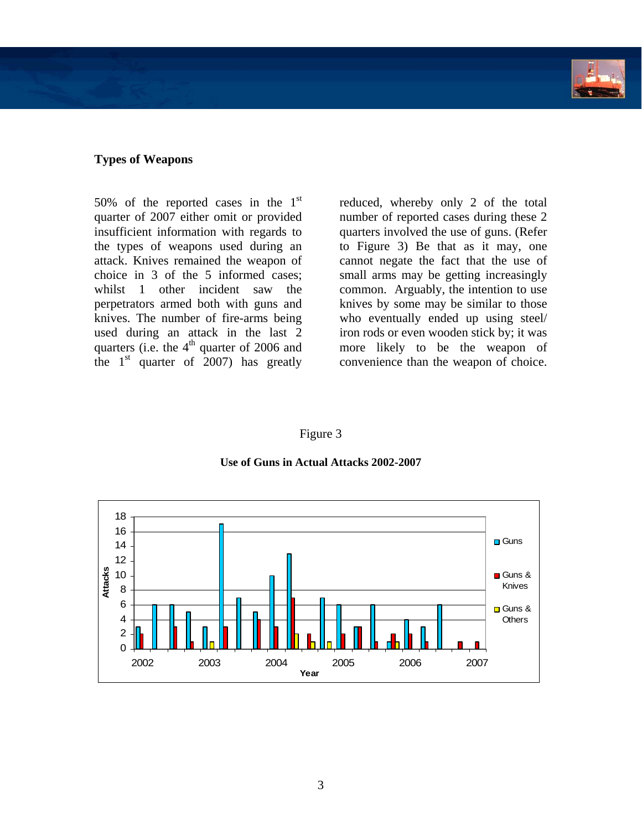

### **Types of Weapons**

50% of the reported cases in the  $1<sup>st</sup>$ quarter of 2007 either omit or provided insufficient information with regards to the types of weapons used during an attack. Knives remained the weapon of choice in 3 of the 5 informed cases; whilst 1 other incident saw the perpetrators armed both with guns and knives. The number of fire-arms being used during an attack in the last 2 quarters (i.e. the  $4<sup>th</sup>$  quarter of 2006 and the  $1<sup>st</sup>$  quarter of 2007) has greatly reduced, whereby only 2 of the total number of reported cases during these 2 quarters involved the use of guns. (Refer to Figure 3) Be that as it may, one cannot negate the fact that the use of small arms may be getting increasingly common. Arguably, the intention to use knives by some may be similar to those who eventually ended up using steel/ iron rods or even wooden stick by; it was more likely to be the weapon of convenience than the weapon of choice.

Figure 3



**Use of Guns in Actual Attacks 2002-2007**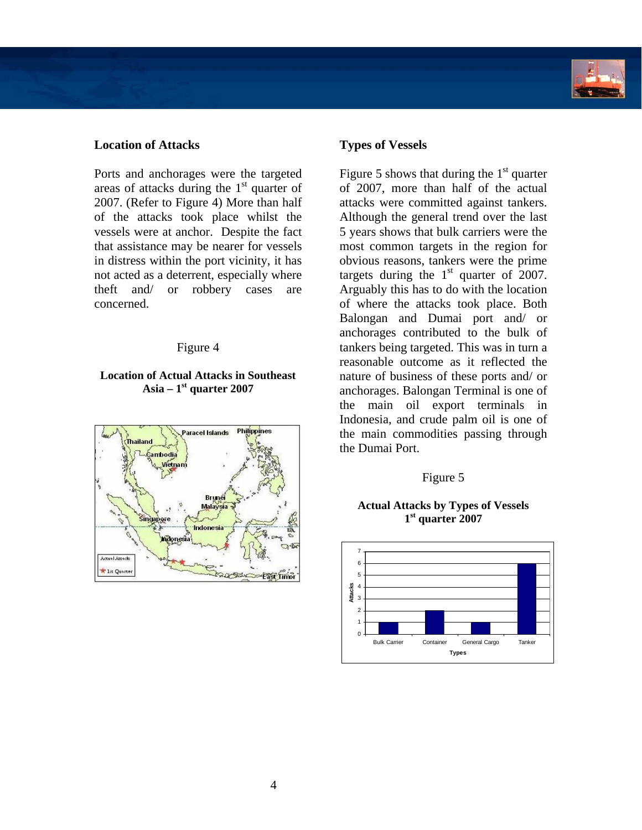

### **Location of Attacks Types of Vessels**

Ports and anchorages were the targeted areas of attacks during the  $1<sup>st</sup>$  quarter of 2007. (Refer to Figure 4) More than half of the attacks took place whilst the vessels were at anchor. Despite the fact that assistance may be nearer for vessels in distress within the port vicinity, it has not acted as a deterrent, especially where theft and/ or robbery cases are concerned.

#### Figure 4

## **Location of Actual Attacks in Southeast Asia – 1st quarter 2007**



Figure 5 shows that during the  $1<sup>st</sup>$  quarter of 2007, more than half of the actual attacks were committed against tankers. Although the general trend over the last 5 years shows that bulk carriers were the most common targets in the region for obvious reasons, tankers were the prime targets during the  $1<sup>st</sup>$  quarter of 2007. Arguably this has to do with the location of where the attacks took place. Both Balongan and Dumai port and/ or anchorages contributed to the bulk of tankers being targeted. This was in turn a reasonable outcome as it reflected the nature of business of these ports and/ or anchorages. Balongan Terminal is one of the main oil export terminals in Indonesia, and crude palm oil is one of the main commodities passing through the Dumai Port.

#### Figure 5

#### **Actual Attacks by Types of Vessels 1st quarter 2007**

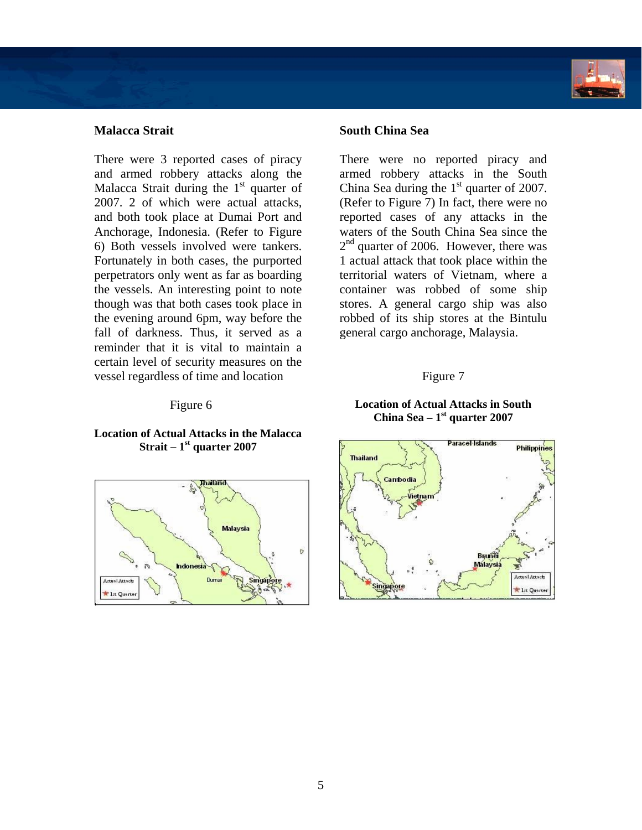## **Malacca Strait**

There were 3 reported cases of piracy and armed robbery attacks along the Malacca Strait during the 1<sup>st</sup> quarter of 2007. 2 of which were actual attacks, and both took place at Dumai Port and Anchorage, Indonesia. (Refer to Figure 6) Both vessels involved were tankers. Fortunately in both cases, the purported perpetrators only went as far as boarding the vessels. An interesting point to note though was that both cases took place in the evening around 6pm, way before the fall of darkness. Thus, it served as a reminder that it is vital to maintain a certain level of security measures on the vessel regardless of time and location

### Figure 6

### **Location of Actual Attacks in the Malacca Strait – 1st quarter 2007**



#### **South China Sea**

There were no reported piracy and armed robbery attacks in the South China Sea during the  $1<sup>st</sup>$  quarter of 2007. (Refer to Figure 7) In fact, there were no reported cases of any attacks in the waters of the South China Sea since the  $2<sup>nd</sup>$  quarter of 2006. However, there was 1 actual attack that took place within the territorial waters of Vietnam, where a container was robbed of some ship stores. A general cargo ship was also robbed of its ship stores at the Bintulu general cargo anchorage, Malaysia.

#### Figure 7

#### **Location of Actual Attacks in South China Sea – 1st quarter 2007**

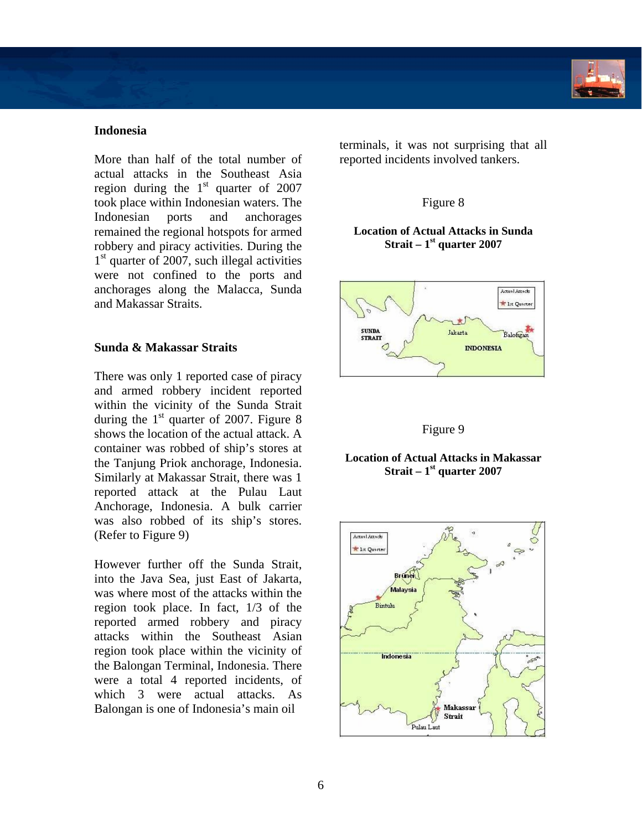## **Indonesia**

More than half of the total number of actual attacks in the Southeast Asia region during the  $1<sup>st</sup>$  quarter of 2007 took place within Indonesian waters. The Indonesian ports and anchorages remained the regional hotspots for armed robbery and piracy activities. During the  $1<sup>st</sup>$  quarter of 2007, such illegal activities were not confined to the ports and anchorages along the Malacca, Sunda and Makassar Straits.

## **Sunda & Makassar Straits**

There was only 1 reported case of piracy and armed robbery incident reported within the vicinity of the Sunda Strait during the  $1<sup>st</sup>$  quarter of 2007. Figure 8 shows the location of the actual attack. A container was robbed of ship's stores at the Tanjung Priok anchorage, Indonesia. Similarly at Makassar Strait, there was 1 reported attack at the Pulau Laut Anchorage, Indonesia. A bulk carrier was also robbed of its ship's stores. (Refer to Figure 9)

However further off the Sunda Strait, into the Java Sea, just East of Jakarta, was where most of the attacks within the region took place. In fact, 1/3 of the reported armed robbery and piracy attacks within the Southeast Asian region took place within the vicinity of the Balongan Terminal, Indonesia. There were a total 4 reported incidents, of which 3 were actual attacks. As Balongan is one of Indonesia's main oil

terminals, it was not surprising that all reported incidents involved tankers.

## Figure 8

### **Location of Actual Attacks in Sunda Strait – 1st quarter 2007**



## Figure 9

#### **Location of Actual Attacks in Makassar Strait – 1st quarter 2007**